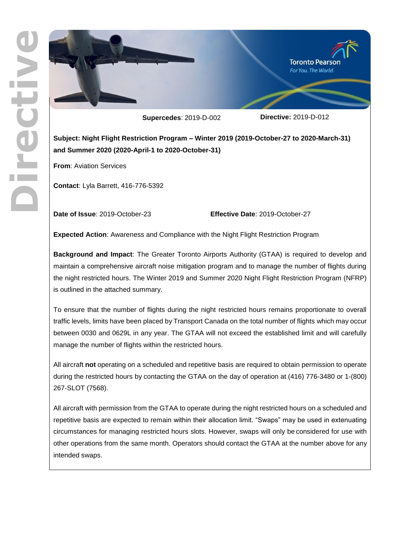

**Super cedes**: 201 9 - D -00

2 **Directive:** 2019 - D -012

**Subject: Night Flight Restriction Program – Winter 201 9 (201 9 -October -27 to 2020 -March -31) and Summer 2020 (2020 -April -1 to 2020 -October -31 )**

**From**: Aviation Services

**Contact**: Lyla Barrett, 416 -776 -5392

Date of Issue: 2019-October

-23 **Effective Date**: 2019 -October -27

**Expected Action**: Awareness and Compliance with the Night Flight Restriction Program

**Background and Impact**: The Greater Toronto Airports Authority (GTAA) is required to develop and maintain a comprehensive aircraft noise mitigation program and to manage the number of flights during the night restricted hours. The Winter 201 9 and Summer 2020 Night Flight Restriction Program (NFRP) is outlined in the attached summary.

To ensure that the number of flights during the night restricted hours remains proportionate to overall traffic levels, limits have been placed by Transport Canada on the total number of flights which may occur between 0030 and 0629L in any year. The GTAA will not exceed the established limit and will carefully manage the number of flights within the restricted hours.

All aircraft **not** operating on a scheduled and repetitive basis are required to obtain permission to operate during the restricted hours by contacting the GTAA on the day of operation at (416) 776-3480 or 1-(800) 267 -SLOT (7568).

All aircraft with permission from the GTAA to operate during the night restricted hours on a scheduled and repetitive basis are expected to remain within their allocation limit. "Swaps" may be used in extenuating circumstances for managing restricted hours slots. However, swaps will only be considered for use with other operations from the same month. Operators should contact the GTAA at the number above for any intended swaps.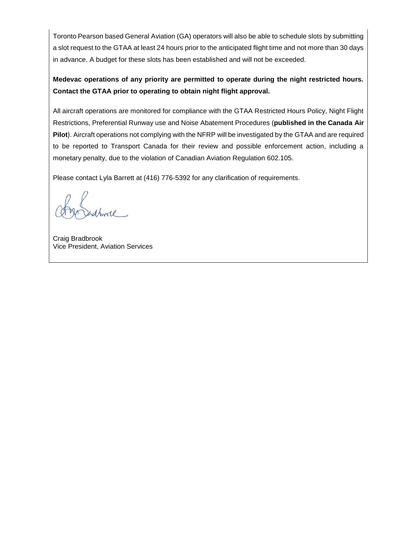Toronto Pearson based General Aviation (GA) operators will also be able to schedule slots by submitting a slot request to the GTAA at least 24 hours prior to the anticipated flight time and not more than 30 days in advance. A budget for these slots has been established and will not be exceeded.

# **Medevac operations of any priority are permitted to operate during the night restricted hours. Contact the GTAA prior to operating to obtain night flight approval.**

All aircraft operations are monitored for compliance with the GTAA Restricted Hours Policy, Night Flight Restrictions, Preferential Runway use and Noise Abatement Procedures (**published in the Canada Air Pilot**). Aircraft operations not complying with the NFRP will be investigated by the GTAA and are required to be reported to Transport Canada for their review and possible enforcement action, including a monetary penalty, due to the violation of Canadian Aviation Regulation 602.105.

Please contact Lyla Barrett at (416) 776-5392 for any clarification of requirements.

Craig Bradbrook Vice President, Aviation Services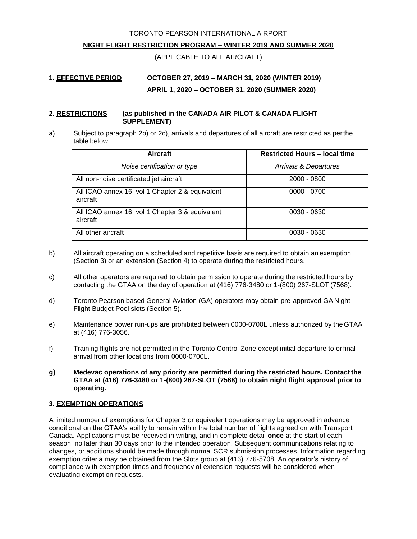TORONTO PEARSON INTERNATIONAL AIRPORT

#### **NIGHT FLIGHT RESTRICTION PROGRAM – WINTER 2019 AND SUMMER 2020**

(APPLICABLE TO ALL AIRCRAFT)

# **1. EFFECTIVE PERIOD OCTOBER 27, 2019 – MARCH 31, 2020 (WINTER 2019) APRIL 1, 2020 – OCTOBER 31, 2020 (SUMMER 2020)**

#### **2. RESTRICTIONS (as published in the CANADA AIR PILOT & CANADA FLIGHT SUPPLEMENT)**

a) Subject to paragraph 2b) or 2c), arrivals and departures of all aircraft are restricted as perthe table below:

| <b>Aircraft</b>                                             | <b>Restricted Hours - local time</b> |
|-------------------------------------------------------------|--------------------------------------|
| Noise certification or type                                 | Arrivals & Departures                |
| All non-noise certificated jet aircraft                     | $2000 - 0800$                        |
| All ICAO annex 16, vol 1 Chapter 2 & equivalent<br>aircraft | $0000 - 0700$                        |
| All ICAO annex 16, vol 1 Chapter 3 & equivalent<br>aircraft | $0030 - 0630$                        |
| All other aircraft                                          | 0030 - 0630                          |

- b) All aircraft operating on a scheduled and repetitive basis are required to obtain an exemption (Section 3) or an extension (Section 4) to operate during the restricted hours.
- c) All other operators are required to obtain permission to operate during the restricted hours by contacting the GTAA on the day of operation at (416) 776-3480 or 1-(800) 267-SLOT (7568).
- d) Toronto Pearson based General Aviation (GA) operators may obtain pre-approved GA Night Flight Budget Pool slots (Section 5).
- e) Maintenance power run-ups are prohibited between 0000-0700L unless authorized by theGTAA at (416) 776-3056.
- f) Training flights are not permitted in the Toronto Control Zone except initial departure to orfinal arrival from other locations from 0000-0700L.
- **g) Medevac operations of any priority are permitted during the restricted hours. Contact the GTAA at (416) 776-3480 or 1-(800) 267-SLOT (7568) to obtain night flight approval prior to operating.**

## **3. EXEMPTION OPERATIONS**

A limited number of exemptions for Chapter 3 or equivalent operations may be approved in advance conditional on the GTAA's ability to remain within the total number of flights agreed on with Transport Canada. Applications must be received in writing, and in complete detail **once** at the start of each season, no later than 30 days prior to the intended operation. Subsequent communications relating to changes, or additions should be made through normal SCR submission processes. Information regarding exemption criteria may be obtained from the Slots group at (416) 776-5708. An operator's history of compliance with exemption times and frequency of extension requests will be considered when evaluating exemption requests.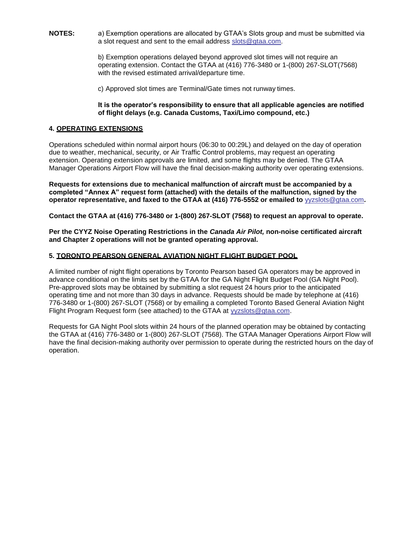**NOTES:** a) Exemption operations are allocated by GTAA's Slots group and must be submitted via a slot request and sent to the email address [slots@gtaa.com.](mailto:slots@gtaa.com)

> b) Exemption operations delayed beyond approved slot times will not require an operating extension. Contact the GTAA at (416) 776-3480 or 1-(800) 267-SLOT(7568) with the revised estimated arrival/departure time.

c) Approved slot times are Terminal/Gate times not runway times.

#### **It is the operator's responsibility to ensure that all applicable agencies are notified of flight delays (e.g. Canada Customs, Taxi/Limo compound, etc.)**

### **4. OPERATING EXTENSIONS**

Operations scheduled within normal airport hours (06:30 to 00:29L) and delayed on the day of operation due to weather, mechanical, security, or Air Traffic Control problems, may request an operating extension. Operating extension approvals are limited, and some flights may be denied. The GTAA Manager Operations Airport Flow will have the final decision-making authority over operating extensions.

**Requests for extensions due to mechanical malfunction of aircraft must be accompanied by a completed "Annex A" request form (attached) with the details of the malfunction, signed by the operator representative, and faxed to the GTAA at (416) 776-5552 or emailed to** [yyzslots@gtaa.com](mailto:yyzslots@gtaa.com)**.**

**Contact the GTAA at (416) 776-3480 or 1-(800) 267-SLOT (7568) to request an approval to operate.**

**Per the CYYZ Noise Operating Restrictions in the** *Canada Air Pilot,* **non-noise certificated aircraft and Chapter 2 operations will not be granted operating approval.**

#### **5. TORONTO PEARSON GENERAL AVIATION NIGHT FLIGHT BUDGET POOL**

A limited number of night flight operations by Toronto Pearson based GA operators may be approved in advance conditional on the limits set by the GTAA for the GA Night Flight Budget Pool (GA Night Pool). Pre-approved slots may be obtained by submitting a slot request 24 hours prior to the anticipated operating time and not more than 30 days in advance. Requests should be made by telephone at (416) 776-3480 or 1-(800) 267-SLOT (7568) or by emailing a completed Toronto Based General Aviation Night Flight Program Request form (see attached) to the GTAA at [yyzslots@gtaa.com.](mailto:yyzslots@gtaa.com)

Requests for GA Night Pool slots within 24 hours of the planned operation may be obtained by contacting the GTAA at (416) 776-3480 or 1-(800) 267-SLOT (7568). The GTAA Manager Operations Airport Flow will have the final decision-making authority over permission to operate during the restricted hours on the day of operation.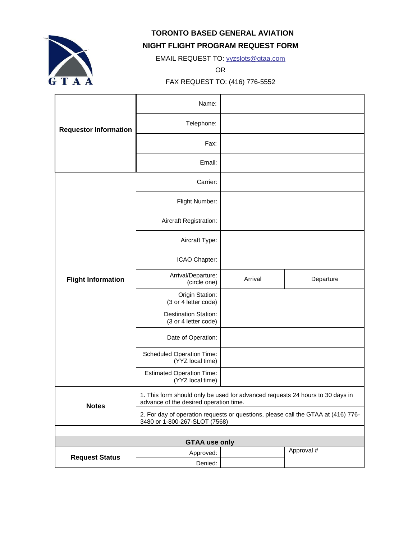

**TORONTO BASED GENERAL AVIATION** 

## **NIGHT FLIGHT PROGRAM REQUEST FORM**

EMAIL REQUEST TO: [yyzslots@gtaa.com](mailto:yyzslots@gtaa.com)

OR

FAX REQUEST TO: (416) 776-5552

|                              | Name:                                                                                                                   |         |            |  |
|------------------------------|-------------------------------------------------------------------------------------------------------------------------|---------|------------|--|
| <b>Requestor Information</b> | Telephone:                                                                                                              |         |            |  |
|                              | Fax:                                                                                                                    |         |            |  |
|                              | Email:                                                                                                                  |         |            |  |
| <b>Flight Information</b>    | Carrier:                                                                                                                |         |            |  |
|                              | Flight Number:                                                                                                          |         |            |  |
|                              | Aircraft Registration:                                                                                                  |         |            |  |
|                              | Aircraft Type:                                                                                                          |         |            |  |
|                              | ICAO Chapter:                                                                                                           |         |            |  |
|                              | Arrival/Departure:<br>(circle one)                                                                                      | Arrival | Departure  |  |
|                              | Origin Station:<br>(3 or 4 letter code)                                                                                 |         |            |  |
|                              | <b>Destination Station:</b><br>(3 or 4 letter code)                                                                     |         |            |  |
|                              | Date of Operation:                                                                                                      |         |            |  |
|                              | Scheduled Operation Time:<br>(YYZ local time)                                                                           |         |            |  |
|                              | <b>Estimated Operation Time:</b><br>(YYZ local time)                                                                    |         |            |  |
| <b>Notes</b>                 | 1. This form should only be used for advanced requests 24 hours to 30 days in<br>advance of the desired operation time. |         |            |  |
|                              | 2. For day of operation requests or questions, please call the GTAA at (416) 776-<br>3480 or 1-800-267-SLOT (7568)      |         |            |  |
|                              |                                                                                                                         |         |            |  |
| <b>GTAA use only</b>         |                                                                                                                         |         |            |  |
| <b>Request Status</b>        | Approved:                                                                                                               |         | Approval # |  |
|                              | Denied:                                                                                                                 |         |            |  |